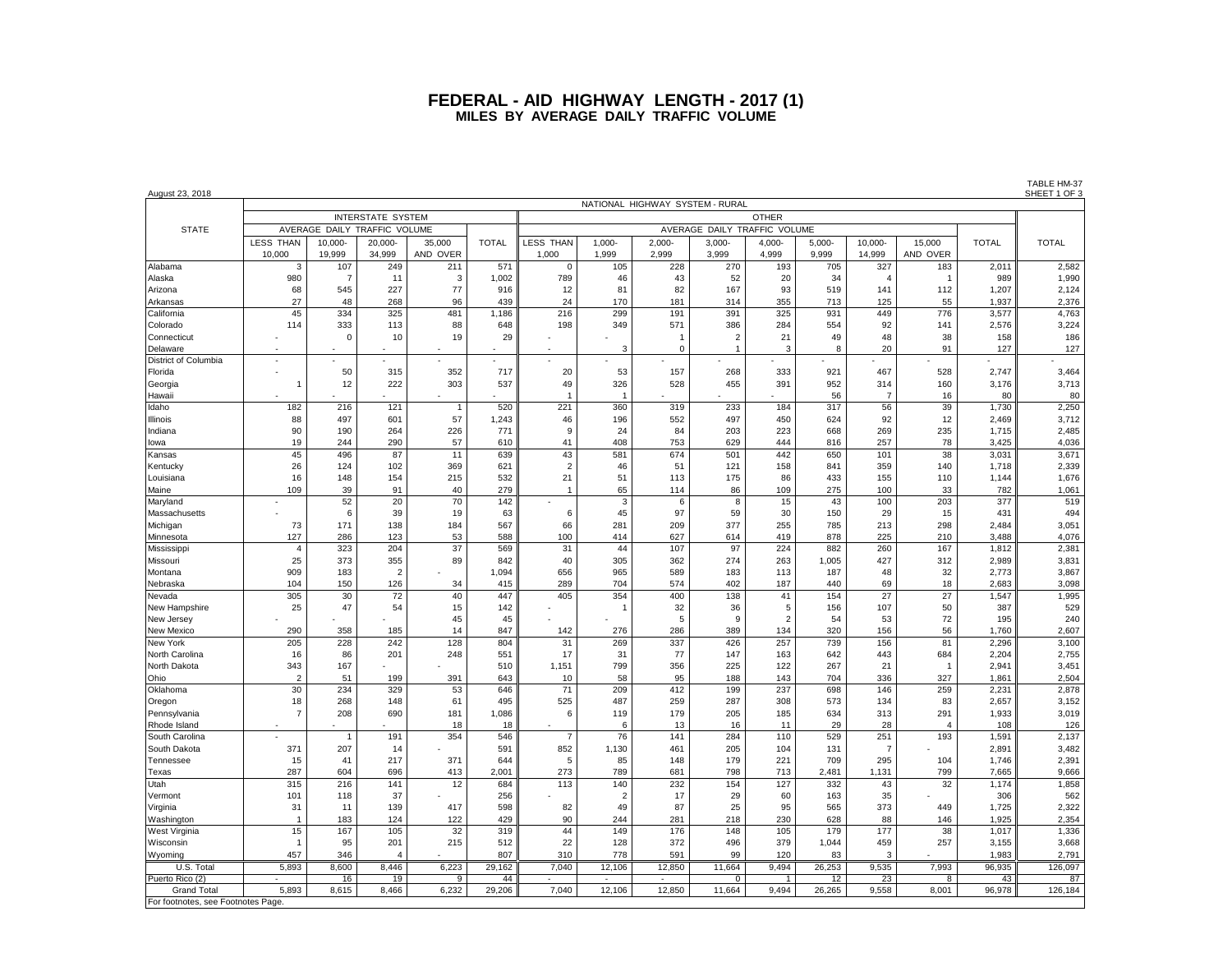| <u>August 23, 2018</u>  |                                 |                    |                |                |              |                              |                |                       |                       |                |           |                       |                |              | <u>SHEET 1 OF 3</u> |
|-------------------------|---------------------------------|--------------------|----------------|----------------|--------------|------------------------------|----------------|-----------------------|-----------------------|----------------|-----------|-----------------------|----------------|--------------|---------------------|
|                         | NATIONAL HIGHWAY SYSTEM - RURAL |                    |                |                |              |                              |                |                       |                       |                |           |                       |                |              |                     |
|                         | <b>INTERSTATE SYSTEM</b>        |                    |                |                |              | <b>OTHER</b>                 |                |                       |                       |                |           |                       |                |              |                     |
| <b>STATE</b>            | AVERAGE DAILY TRAFFIC VOLUME    |                    |                |                |              | AVERAGE DAILY TRAFFIC VOLUME |                |                       |                       |                |           |                       |                |              |                     |
|                         | <b>LESS THAN</b>                | 10,000-            | 20,000-        | 35,000         | <b>TOTAL</b> | LESS THAN                    | $1,000 -$      | $2,000 -$             | $3,000 -$             | 4,000-         | $5,000-$  | 10,000-               | 15,000         | <b>TOTAL</b> | <b>TOTAL</b>        |
|                         | 10,000                          | 19,999             | 34,999         | AND OVER       |              | 1,000                        | 1,999          | 2,999                 | 3,999                 | 4,999          | 9,999     | 14,999                | AND OVER       |              |                     |
| Alabama                 | 3                               | 107                | 249            | 211            | 571          | $\Omega$                     | 105            | 228                   | 270                   | 193            | 705       | 327                   | 183            | 2,011        | 2,582               |
| Alaska                  | 980                             | $\overline{7}$     | 11<br>227      | 3<br>77        | 1,002        | 789                          | 46<br>81       | 43                    | 52                    | 20<br>93       | 34<br>519 | $\overline{4}$<br>141 | $\overline{1}$ | 989          | 1,990               |
| Arizona                 | 68<br>27                        | 545<br>48          |                | 96             | 916<br>439   | 12<br>24                     | 170            | 82<br>181             | 167<br>314            |                | 713       | 125                   | 112            | 1,207        | 2,124               |
| Arkansas                |                                 |                    | 268            |                |              |                              |                |                       |                       | 355            |           |                       | 55             | 1,937        | 2,376               |
| California              | 45                              | 334                | 325            | 481            | 1,186        | 216                          | 299            | 191                   | 391                   | 325            | 931       | 449                   | 776            | 3,577        | 4,763               |
| Colorado<br>Connecticut | 114                             | 333<br>$\mathbf 0$ | 113<br>10      | 88<br>19       | 648<br>29    | 198                          | 349            | 571<br>$\overline{1}$ | 386<br>$\overline{2}$ | 284<br>21      | 554<br>49 | 92<br>48              | 141<br>38      | 2,576<br>158 | 3,224<br>186        |
| Delaware                |                                 |                    |                |                |              |                              | 3              | $\mathbf 0$           | $\overline{1}$        | 3              | 8         | 20                    | 91             | 127          | 127                 |
| District of Columbia    |                                 |                    |                |                |              |                              |                |                       |                       |                |           |                       |                |              |                     |
| Florida                 |                                 | 50                 | 315            | 352            | 717          | 20                           | 53             | 157                   | 268                   | 333            | 921       | 467                   | 528            | 2,747        | 3,464               |
|                         | $\mathbf{1}$                    | 12                 | 222            | 303            | 537          | 49                           | 326            | 528                   | 455                   | 391            | 952       | 314                   | 160            | 3,176        | 3,713               |
| Georgia<br>Hawaii       |                                 |                    |                |                |              | -1                           | -1             |                       |                       |                | 56        | $\overline{7}$        | 16             | 80           | 80                  |
| Idaho                   | 182                             | 216                | 121            | $\overline{1}$ | 520          | 221                          | 360            | 319                   | 233                   | 184            | 317       | 56                    | 39             | 1,730        | 2,250               |
| Illinois                | 88                              | 497                | 601            | 57             | 1,243        | 46                           | 196            | 552                   | 497                   | 450            | 624       | 92                    | 12             | 2,469        | 3,712               |
| Indiana                 | 90                              | 190                | 264            | 226            | 771          | 9                            | 24             | 84                    | 203                   | 223            | 668       | 269                   | 235            | 1,715        | 2,485               |
| lowa                    | 19                              | 244                | 290            | 57             | 610          | 41                           | 408            | 753                   | 629                   | 444            | 816       | 257                   | 78             | 3,425        | 4,036               |
| Kansas                  | 45                              | 496                | 87             | 11             | 639          | 43                           | 581            | 674                   | 501                   | 442            | 650       | 101                   | 38             | 3,031        | 3,671               |
| Kentucky                | 26                              | 124                | 102            | 369            | 621          | $\overline{2}$               | 46             | 51                    | 121                   | 158            | 841       | 359                   | 140            | 1,718        | 2,339               |
| Louisiana               | 16                              | 148                | 154            | 215            | 532          | 21                           | 51             | 113                   | 175                   | 86             | 433       | 155                   | 110            | 1,144        | 1,676               |
| Maine                   | 109                             | 39                 | 91             | 40             | 279          | $\overline{1}$               | 65             | 114                   | 86                    | 109            | 275       | 100                   | 33             | 782          | 1,061               |
| Maryland                |                                 | 52                 | 20             | 70             | 142          |                              | 3              | 6                     | 8                     | 15             | 43        | 100                   | 203            | 377          | 519                 |
| Massachusetts           |                                 | 6                  | 39             | 19             | 63           | 6                            | 45             | 97                    | 59                    | 30             | 150       | 29                    | 15             | 431          | 494                 |
| Michigan                | 73                              | 171                | 138            | 184            | 567          | 66                           | 281            | 209                   | 377                   | 255            | 785       | 213                   | 298            | 2,484        | 3,051               |
| Minnesota               | 127                             | 286                | 123            | 53             | 588          | 100                          | 414            | 627                   | 614                   | 419            | 878       | 225                   | 210            | 3,488        | 4,076               |
| Mississippi             | $\overline{4}$                  | 323                | 204            | 37             | 569          | 31                           | 44             | 107                   | 97                    | 224            | 882       | 260                   | 167            | 1,812        | 2,381               |
| Missouri                | 25                              | 373                | 355            | 89             | 842          | 40                           | 305            | 362                   | 274                   | 263            | 1,005     | 427                   | 312            | 2,989        | 3,831               |
| Montana                 | 909                             | 183                | $\overline{2}$ |                | 1,094        | 656                          | 965            | 589                   | 183                   | 113            | 187       | 48                    | 32             | 2,773        | 3,867               |
| Nebraska                | 104                             | 150                | 126            | 34             | 415          | 289                          | 704            | 574                   | 402                   | 187            | 440       | 69                    | 18             | 2,683        | 3,098               |
| Nevada                  | 305                             | 30                 | 72             | 40             | 447          | 405                          | 354            | 400                   | 138                   | 41             | 154       | 27                    | 27             | 1,547        | 1,995               |
| New Hampshire           | 25                              | 47                 | 54             | 15             | 142          |                              | -1             | 32                    | 36                    | 5              | 156       | 107                   | 50             | 387          | 529                 |
| New Jersey              |                                 |                    |                | 45             | 45           |                              |                | 5                     | 9                     | $\overline{2}$ | 54        | 53                    | 72             | 195          | 240                 |
| New Mexico              | 290                             | 358                | 185            | 14             | 847          | 142                          | 276            | 286                   | 389                   | 134            | 320       | 156                   | 56             | 1,760        | 2,607               |
| New York                | 205                             | 228                | 242            | 128            | 804          | 31                           | 269            | 337                   | 426                   | 257            | 739       | 156                   | 81             | 2,296        | 3,100               |
| North Carolina          | 16                              | 86                 | 201            | 248            | 551          | 17                           | 31             | 77                    | 147                   | 163            | 642       | 443                   | 684            | 2,204        | 2,755               |
| North Dakota            | 343                             | 167                |                |                | 510          | 1,151                        | 799            | 356                   | 225                   | 122            | 267       | 21                    | -1             | 2,941        | 3,451               |
| Ohio                    | $\overline{2}$                  | 51                 | 199            | 391            | 643          | 10                           | 58             | 95                    | 188                   | 143            | 704       | 336                   | 327            | 1.861        | 2,504               |
| Oklahoma                | 30                              | 234                | 329            | 53             | 646          | 71                           | 209            | 412                   | 199                   | 237            | 698       | 146                   | 259            | 2,231        | 2,878               |
| Oregon                  | 18                              | 268                | 148            | 61             | 495          | 525                          | 487            | 259                   | 287                   | 308            | 573       | 134                   | 83             | 2,657        | 3,152               |
| Pennsylvania            | $\overline{7}$                  | 208                | 690            | 181            | 1,086        | 6                            | 119            | 179                   | 205                   | 185            | 634       | 313                   | 291            | 1,933        | 3,019               |
| Rhode Island            |                                 |                    |                | 18             | 18           |                              | 6              | 13                    | 16                    | 11             | 29        | 28                    | $\overline{4}$ | 108          | 126                 |
| South Carolina          |                                 | $\overline{1}$     | 191            | 354            | 546          | $\overline{7}$               | 76             | 141                   | 284                   | 110            | 529       | 251                   | 193            | 1,591        | 2,137               |
| South Dakota            | 371                             | 207                | 14             |                | 591          | 852                          | 1,130          | 461                   | 205                   | 104            | 131       | $\overline{7}$        |                | 2,891        | 3,482               |
| Tennessee               | 15                              | 41                 | 217            | 371            | 644          | 5                            | 85             | 148                   | 179                   | 221            | 709       | 295                   | 104            | 1,746        | 2,391               |
| Texas                   | 287                             | 604                | 696            | 413            | 2,001        | 273                          | 789            | 681                   | 798                   | 713            | 2,481     | 1,131                 | 799            | 7,665        | 9,666               |
| Utah                    | 315                             | 216                | 141            | 12             | 684          | 113                          | 140            | 232                   | 154                   | 127            | 332       | 43                    | 32             | 1,174        | 1,858               |
| Vermont                 | 101                             | 118                | 37             |                | 256          |                              | $\overline{2}$ | 17                    | 29                    | 60             | 163       | 35                    |                | 306          | 562                 |
| Virginia                | 31                              | 11                 | 139            | 417            | 598          | 82                           | 49             | 87                    | 25                    | 95             | 565       | 373                   | 449            | 1,725        | 2,322               |
| Washington              | $\overline{1}$                  | 183                | 124            | 122            | 429          | 90                           | 244            | 281                   | 218                   | 230            | 628       | 88                    | 146            | 1,925        | 2,354               |
| West Virginia           | 15                              | 167                | 105            | 32             | 319          | 44                           | 149            | 176                   | 148                   | 105            | 179       | 177                   | 38             | 1,017        | 1,336               |
| Wisconsin               | $\mathbf{1}$                    | 95                 | 201            | 215            | 512          | 22                           | 128            | 372                   | 496                   | 379            | 1,044     | 459                   | 257            | 3,155        | 3,668               |
| Wyoming                 | 457                             | 346                | $\overline{A}$ |                | 807          | 310                          | 778            | 591                   | 99                    | 120            | 83        | 3                     |                | 1.983        | 2,791               |
| U.S. Total              | 5,893                           | 8,600              | 8,446          | 6,223          | 29,162       | 7,040                        | 12,106         | 12,850                | 11,664                | 9,494          | 26,253    | 9,535                 | 7,993          | 96,935       | 126,097             |
| Puerto Rico (2)         |                                 | 16                 | 19             | 9              | 44           |                              |                |                       | $\overline{0}$        | 1              | 12        | 23                    | 8              | 43           | 87                  |

TABLE HM-37<br>SHEET 1 OF 3

Grand Total | 5,893 | 8,615 | 8,466 | 6,232 | 29,206 || 7,040 | 12,106 | 12,850 | 11,664 | 9,494 | 26,265 | 9,558 | 8,001 | 96,978 || 126,184 For footnotes, see Footnotes Page.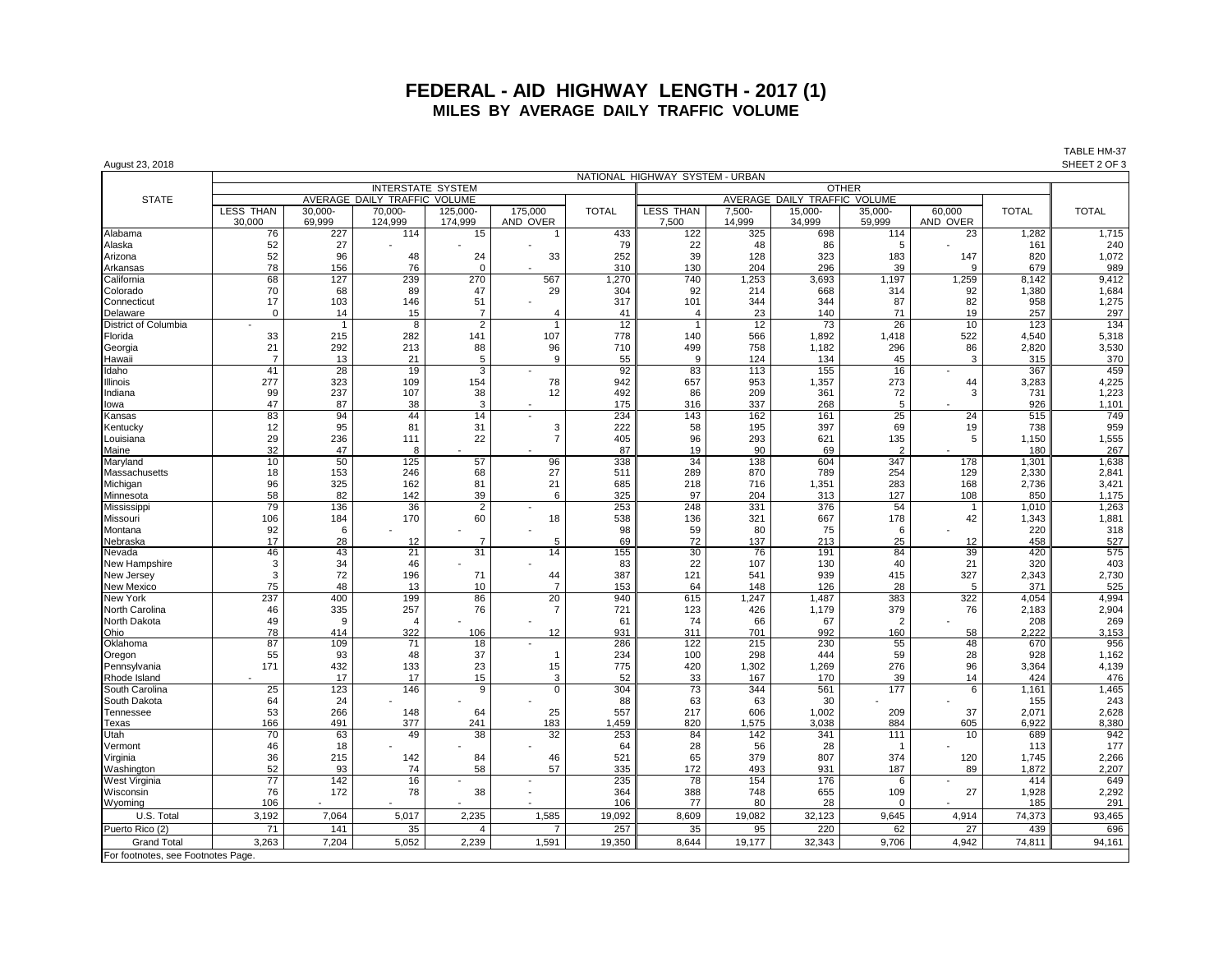| August 23, 2018                    |                                          |                  |                              |                       |                      |              |                              |                  |                  |                       |                          |              | SHEET 2 OF 3 |  |
|------------------------------------|------------------------------------------|------------------|------------------------------|-----------------------|----------------------|--------------|------------------------------|------------------|------------------|-----------------------|--------------------------|--------------|--------------|--|
|                                    | NATIONAL HIGHWAY SYSTEM - URBAN          |                  |                              |                       |                      |              |                              |                  |                  |                       |                          |              |              |  |
|                                    | <b>INTERSTATE SYSTEM</b><br><b>OTHER</b> |                  |                              |                       |                      |              |                              |                  |                  |                       |                          |              |              |  |
| <b>STATE</b>                       |                                          |                  | AVERAGE DAILY TRAFFIC VOLUME |                       |                      |              | AVERAGE DAILY TRAFFIC VOLUME |                  |                  |                       |                          |              |              |  |
|                                    | <b>LESS THAN</b><br>30,000               | 30,000<br>69,999 | 70,000<br>124,999            | 125,000-<br>174,999   | 175,000<br>AND OVER  | <b>TOTAL</b> | LESS THAN<br>7,500           | 7,500-<br>14,999 | 15,000<br>34,999 | 35,000-<br>59,999     | 60,000<br>AND OVER       | <b>TOTAL</b> | <b>TOTAL</b> |  |
| Alabama                            | 76                                       | 227              | 114                          | 15                    |                      | 433          | 122                          | 325              | 698              | 114                   | 23                       | 1,282        | 1,715        |  |
| Alaska                             | 52                                       | 27               |                              |                       |                      | 79           | 22                           | 48               | 86               | 5                     |                          | 161          | 240          |  |
| Arizona                            | 52                                       | 96               | 48                           | 24                    | 33                   | 252          | 39                           | 128              | 323              | 183                   | 147                      | 820          | 1,072        |  |
| Arkansas                           | 78                                       | 156              | 76                           | $\mathbf 0$           |                      | 310          | 130                          | 204              | 296              | 39                    | 9                        | 679          | 989          |  |
| California                         | 68                                       | 127              | 239                          | 270                   | 567                  | 1,270        | 740                          | 1,253            | 3,693            | 1,197                 | 1,259                    | 8,142        | 9,412        |  |
| Colorado                           | 70                                       | 68               | 89                           | 47                    | 29                   | 304          | 92                           | 214              | 668              | 314                   | 92                       | 1,380        | 1,684        |  |
| Connecticut                        | 17                                       | 103              | 146                          | 51                    |                      | 317          | 101                          | 344              | 344              | 87                    | 82                       | 958          | 1,275        |  |
| Delaware                           | $\mathbf 0$                              | 14               | 15                           | $\overline{7}$        | $\overline{4}$       | 41           | $\overline{4}$               | 23               | 140              | 71                    | 19                       | 257          | 297          |  |
| District of Columbia<br>Florida    |                                          | 215              | 8<br>282                     | $\overline{2}$<br>141 | $\mathbf{1}$<br>107  | 12<br>778    | $\overline{1}$<br>140        | 12<br>566        | 73<br>1,892      | 26<br>1,418           | 10<br>522                | 123<br>4,540 | 134<br>5,318 |  |
| Georgia                            | 33<br>21                                 | 292              | 213                          | 88                    | 96                   | 710          | 499                          | 758              | 1,182            | 296                   | 86                       | 2,820        | 3,530        |  |
| Hawaii                             | $\overline{7}$                           | 13               | 21                           | 5                     | 9                    | 55           | 9                            | 124              | 134              | 45                    | 3                        | 315          | 370          |  |
| Idaho                              | 41                                       | 28               | 19                           | $\overline{3}$        |                      | 92           | 83                           | 113              | 155              | 16                    |                          | 367          | 459          |  |
| Illinois                           | 277                                      | 323              | 109                          | 154                   | 78                   | 942          | 657                          | 953              | 1,357            | 273                   | 44                       | 3,283        | 4,225        |  |
| Indiana                            | 99                                       | 237              | 107                          | 38                    | 12                   | 492          | 86                           | 209              | 361              | 72                    | 3                        | 731          | 1,223        |  |
| lowa                               | 47                                       | 87               | 38                           | 3                     |                      | 175          | 316                          | 337              | 268              | 5                     |                          | 926          | 1,101        |  |
| Kansas                             | 83                                       | 94               | 44                           | 14                    |                      | 234          | 143                          | 162              | 161              | 25                    | 24                       | 515          | 749          |  |
| Kentucky                           | 12                                       | 95               | 81                           | 31                    | 3                    | 222          | 58                           | 195              | 397              | 69                    | 19                       | 738          | 959          |  |
| Louisiana                          | 29                                       | 236<br>47        | 111<br>8                     | 22                    | $\overline{7}$       | 405<br>87    | 96                           | 293<br>90        | 621<br>69        | 135<br>$\overline{2}$ | 5                        | 1,150<br>180 | 1,555<br>267 |  |
| Maine                              | 32<br>10                                 | 50               | 125                          | 57                    | 96                   | 338          | 19<br>34                     | 138              | 604              | 347                   | 178                      | 1.301        | 1,638        |  |
| Maryland<br>Massachusetts          | 18                                       | 153              | 246                          | 68                    | 27                   | 511          | 289                          | 870              | 789              | 254                   | 129                      | 2,330        | 2,841        |  |
| Michigan                           | 96                                       | 325              | 162                          | 81                    | 21                   | 685          | 218                          | 716              | 1,351            | 283                   | 168                      | 2,736        | 3,421        |  |
| Minnesota                          | 58                                       | 82               | 142                          | 39                    | 6                    | 325          | 97                           | 204              | 313              | 127                   | 108                      | 850          | 1,175        |  |
| Mississippi                        | 79                                       | 136              | 36                           | $\overline{2}$        |                      | 253          | 248                          | 331              | 376              | 54                    | $\overline{\phantom{a}}$ | 1,010        | 1,263        |  |
| Missouri                           | 106                                      | 184              | 170                          | 60                    | 18                   | 538          | 136                          | 321              | 667              | 178                   | 42                       | 1,343        | 1,881        |  |
| Montana                            | 92                                       | 6                |                              |                       |                      | 98           | 59                           | 80               | 75               | 6                     |                          | 220          | 318          |  |
| Nebraska                           | 17                                       | 28               | 12                           | 7                     | 5                    | 69           | 72                           | 137              | 213              | 25                    | 12                       | 458          | 527          |  |
| Nevada                             | 46                                       | 43               | 21                           | 31                    | 14                   | 155          | 30                           | 76               | 191              | 84                    | 39                       | 420          | 575          |  |
| New Hampshire                      | 3<br>3                                   | 34               | 46                           |                       |                      | 83<br>387    | 22                           | 107              | 130<br>939       | 40                    | 21<br>327                | 320          | 403          |  |
| New Jersey<br><b>New Mexico</b>    | 75                                       | 72<br>48         | 196<br>13                    | 71<br>10              | 44<br>$\overline{7}$ | 153          | 121<br>64                    | 541<br>148       | 126              | 415<br>28             | 5                        | 2,343<br>371 | 2,730<br>525 |  |
| New York                           | 237                                      | 400              | 199                          | 86                    | 20                   | 940          | 615                          | 1,247            | 1,487            | 383                   | 322                      | 4,054        | 4,994        |  |
| North Carolina                     | 46                                       | 335              | 257                          | 76                    | $\overline{7}$       | 721          | 123                          | 426              | 1,179            | 379                   | 76                       | 2,183        | 2,904        |  |
| North Dakota                       | 49                                       | 9                | $\overline{4}$               |                       |                      | 61           | 74                           | 66               | 67               | 2                     |                          | 208          | 269          |  |
| Ohio                               | 78                                       | 414              | 322                          | 106                   | 12                   | 931          | 311                          | 701              | 992              | 160                   | 58                       | 2,222        | 3,153        |  |
| Oklahoma                           | 87                                       | 109              | $\overline{71}$              | 18                    |                      | 286          | 122                          | 215              | 230              | 55                    | 48                       | 670          | 956          |  |
| Oregon                             | 55                                       | 93               | 48                           | 37                    | $\overline{1}$       | 234          | 100                          | 298              | 444              | 59                    | 28                       | 928          | 1,162        |  |
| Pennsylvania                       | 171                                      | 432              | 133                          | 23                    | 15                   | 775          | 420                          | 1,302            | 1,269            | 276                   | 96                       | 3,364        | 4,139        |  |
| Rhode Island                       |                                          | 17<br>123        | 17<br>146                    | 15<br>9               | 3<br>$\overline{0}$  | 52<br>304    | 33<br>73                     | 167<br>344       | 170<br>561       | 39<br>177             | 14<br>6                  | 424<br>1,161 | 476<br>1,465 |  |
| South Carolina<br>South Dakota     | 25<br>64                                 | 24               |                              |                       |                      | 88           | 63                           | 63               | 30               |                       |                          | 155          | 243          |  |
| Tennessee                          | 53                                       | 266              | 148                          | 64                    | 25                   | 557          | 217                          | 606              | 1,002            | 209                   | 37                       | 2,071        | 2,628        |  |
| Texas                              | 166                                      | 491              | 377                          | 241                   | 183                  | 1,459        | 820                          | 1.575            | 3.038            | 884                   | 605                      | 6.922        | 8,380        |  |
| Utah                               | 70                                       | 63               | 49                           | 38                    | 32                   | 253          | 84                           | 142              | 341              | 111                   | 10                       | 689          | 942          |  |
| Vermont                            | 46                                       | 18               |                              |                       |                      | 64           | 28                           | 56               | 28               | -1                    |                          | 113          | 177          |  |
| Virginia                           | 36                                       | 215              | 142                          | 84                    | 46                   | 521          | 65                           | 379              | 807              | 374                   | 120                      | 1,745        | 2,266        |  |
| Washington                         | 52                                       | 93               | 74                           | 58                    | 57                   | 335          | 172                          | 493              | 931              | 187                   | 89                       | 1,872        | 2,207        |  |
| <b>West Virginia</b>               | 77                                       | 142              | 16                           |                       |                      | 235          | 78                           | 154              | 176              | 6                     |                          | 414          | 649          |  |
| Wisconsin                          | 76                                       | 172              | 78                           | 38                    |                      | 364          | 388                          | 748              | 655              | 109                   | 27                       | 1,928        | 2,292        |  |
| Wyoming                            | 106                                      |                  |                              |                       |                      | 106          | 77                           | 80               | 28               | $\Omega$              |                          | 185          | 291          |  |
| U.S. Total                         | 3,192                                    | 7,064            | 5,017                        | 2.235                 | 1,585                | 19,092       | 8.609                        | 19,082           | 32,123           | 9,645                 | 4,914                    | 74,373       | 93,465       |  |
| Puerto Rico (2)                    | 71                                       | 141              | 35                           | $\overline{4}$        | $\overline{7}$       | 257          | 35                           | 95               | 220              | 62                    | 27                       | 439          | 696          |  |
| <b>Grand Total</b>                 | 3.263                                    | 7.204            | 5,052                        | 2.239                 | 1,591                | 19.350       | 8.644                        | 19.177           | 32,343           | 9.706                 | 4.942                    | 74,811       | 94.161       |  |
| For footnotes, see Footnotes Page. |                                          |                  |                              |                       |                      |              |                              |                  |                  |                       |                          |              |              |  |

## TABLE HM-37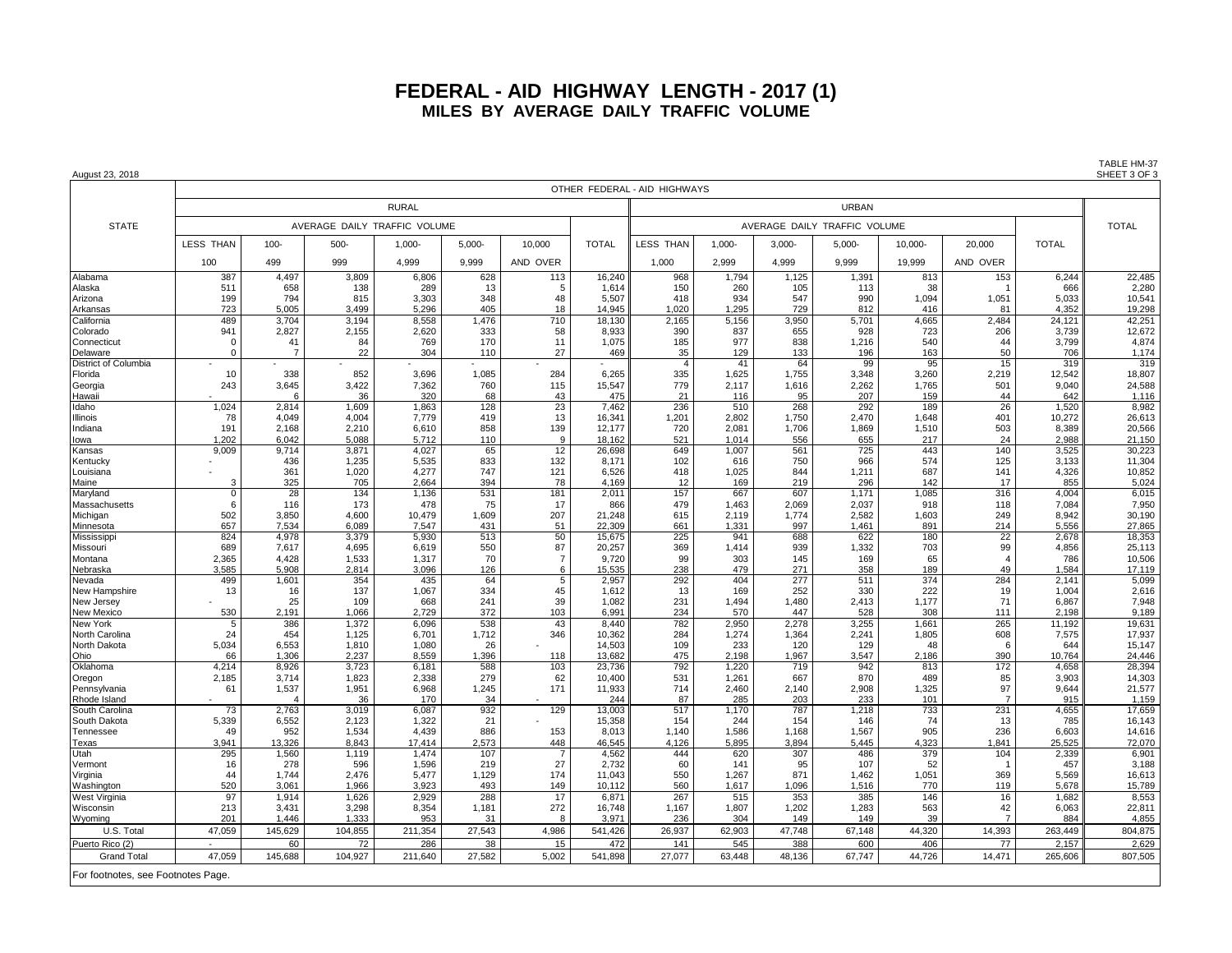August 23, 2018 SHEET 3 OF 3

OTHER FEDERAL - AID HIGHWAYS RURAL URBAN DI SERBENGAN DI SERBENGAN DI SERBENGAN DI SERBENGAN DI SERBENGAN DI SERBAN DI SERBAN DI SERBENGAN STATE AVERAGE DAILY TRAFFIC VOLUME AVERAGE DAILY TRAFFIC VOLUME TOTAL LESS THAN | 100- | 500- | 1,000- | 5,000- | 10,000 | TOTAL ||LESS THAN | 1,000- | 3,000- | 5,000- | 10,000- | 20,000 | TOTAL 100 | 499 | 999 | 4,999 | 9,999 |AND OVER | || 1,000 | 2,999 | 4,999 | 9,999 | 19,999 | AND OVER Alabama | 387 4,497 3,809 6,806 628 113 16,240 968 1,794 1,125 1,391 813 153 6,244 22,485 Alaska | 511 668 |138 |289 13 5 1,614 150 260 105 113 38 1 1 666 280 Arizona | 199 794 815 3,303 348 48 5,507 418 934 547 990 1,094 1,051 5,033 10,541 Arkansas | 723 5,005 3,499 5,296 405 18 14,945 1,020 1,295 729 812 416 81 4,352 19,298 California | 489 3,704 3,194 8,558 1,476 710 18,130 2,165 5,156 3,950 5,701 4,665 2,484 24,121 42,251 Colorado | 941 2,827 2,155 2,620 333 58 8,933 390 837 655 928 723 206 3,739 12,672 Connecticut | 0 41| 84| 769| 170| 11| 1,075|| 185| 977| 838| 1,216| 540| 44| 3,799|| 4,874 Delaware | 0 7 22 304 110 27 469 35 129 133 196 163 50 706 1,174 District of Columbia | - | - | - | - | - | - | - | 41 | 64 99 95 | 15 | 319 319 319 Florida 10 | 338 | 852 | 3,696 | 1,085 | 8,264 | 3,35 | 1,025 | 1,755 | 3,348 | 3,260 | 2,219 | 12,542 || Georgia | 243 3,645 3,422 7,362 760 115 15,547 779 2,117 1,616 2,262 1,765 501 9,040 24,588 Hawaii - 6 36 320 68 43 475 21 116 95 207 159 44 642 1,116 Idaho | 1,024 2,814 1,609 1,863 128 23 7,462 236 510 268 292 189 26 292 150 268 1,520 8,982 Illinois 78 | 4,049 | 4,004 | 7,779 | 419 | 13 | 16,341 || 1,201 | 2,802 | 1,750 | 2,470 | 1,648 | 401 | 10,272 || 26,613 Indiana | 191 |2,168 | 2,210 | 6,610 | 858 | 139 12,177 || 720 | 2,081 | 1,706 | 1,869 | 1,510 | 503 | 8,389 | 20,566 Iowa 1,202 6,042 5,088 5,712 110 9 18,162 521 1,014 556 655 217 24 2,988 21,150 Kansas | 9,009 9,714 3,871 4,027 65 12 26,698 649 1,007 561 725 443 140 3,525 30,223 Kentucky | - | 436 | 1,235 | 5,535 | 833 | 132 | 8,171 || 102 | 616 | 750 | 966 | 574 | 125 | 3,133 || 11,304 Louisiana | - | 361 | 1,020 | 4,277 | 747 | 121 | 6,526 || 418 | 1,025 | 844 | 1,211 | 687 | 141 | 4,326 || 10,852 Maine 3 325 | 705 | 2,664 | 394 | 78 | 4,169 || 169 | 219 | 296 | 142 | 17 | 855 || 5,024 Maryland | 0| 28| 134| 1,136| 531| 181| 2,011|| 157| 667| 607| 1,171| 1,085| 316| 4,004|| 6,015 Massachusetts | 6 116 173 478 7,950 17 866 479 1,463 2,069 2,037 918 118 7,084 7,084 Michigan | 502 | 3,850 | 4,600 | 10,479 | 1,609 | 207 | 21,248 || 615 | 2,119 | 1,774 | 2,582 | 1,603 | 249 | 8,942 || 30,190 Minnesota | 657 7,534 6,089 7,547 431 51 22,309 661 1,331 997 1,461 891 214 5,556 27,865 Mississippi | 824 4,978 3,379 5,930 513 50 15,675 225 941 688 622 180 22 2,678 18,353 Missouri | 689 7,617 4,695 6,619 550 87 20,257 369 1,414 939 1,332 703 99 4,856 25,113 Montana | 2,365 4,428 1,533 1,317 70 7 9,720 99 303 145 169 65 4 7 786 10,506 Nebraska | 3,585 5,908 2,814 3,096 126 6 15,535 238 479 271 358 189 49 1,584 17,119 Nevada | 499 1,601 354 435 64 5 2,957 292 404 277 511 374 284 2,141 5,099 New Hampshire | 13 16| 137| 1,067| 334| 45| 1,612|| 13| 169| 252| 330| 222| 19| 1,004|| 2,616 New Jersey | - | 25 | 109 | 668 | 241 | 39 | 1,082 || 231 | 1,494 | 1,494 | 2,413 | 1,177 | 71 | 6,867 || 7,948 New Mexico | 530 |2,191 |1,066 |2,729 | 372 | 103 |6,991 || 234 | 570 | 447 | 528 | 308 | 111 | 2,198 || 9,189 New York 5 | 386 | 1,372 | 6,096 | 538 | 43 | 8,440 || 782 | 2,950 | 2,278 | 3,255 | 1,661 | 265 | 11,192 || 19,631 North Carolina | 24 | 454 | 1,125 | 6,701 | 1,712 | 346 | 10,362 || 284 | 1,274 | 1,384 | 2,241 | 1,805 | 608 | 7,575 || 17,937 North Dakota | 5,034 6,553 | 1,810 | 1,080 | 26 - | 14,503 || 109 | 233 | 120 | 129 | 48 | 6 | 644 || 15,147 Ohio 66 1,306 2,237 8,559 1,396 118 13,682 475 2,198 1,967 3,547 2,186 390 10,764 24,446 Oklahoma | 4,214 8,926 3,723 6,181 588 103 23,736 792 1,220 719 942 813 172 4,658 28,394 Oregon | 2,185 | 3,714 | 1,823 | 2,338 | 279 | 62 | 10,400 || 531 | 1,261 | 667 | 870 | 489 | 85 | 3,903 || 14,303 Pennsylvania | 61 1,537 1,951 6,968 1,245 171 11,933 714 2,460 2,140 2,908 1,325 97 9,644 21,577 Rhode Island | - | 4 | 36 | 170 | 34 | - | 244 || 87 | 285 || 203 || 233 | 101 | 7 | 915 || 1,159 South Carolina | 73 2,763 3,019 6,087 932 129 13,003 517 1,170 787 1,218 733 231 4,655 1135 South Dakota | 5,339 6,552 2,123 1,322 21 - 15,358 154 244 154 164 146 74 13 785 16,143 Tennessee | 49 952 1,534 4,439 886 153 8,013 1,140 1,586 1,168 1,567 905 236 6,603 14,616 Texas | 3,941 13,326 8,843 17,414 2,573 448 46,545 4,126 5,895 3,894 5,445 4,323 1,841 25,525 72,070 Utah | 295 |1,560 | 1,119 | 1,474 | 107 | 7 | 4,562 || 444 | 620 | 307 | 486 | 379 | 104 | 2,339 || 6,901 Vermont | 16 278 596 1,596 219 27 2,732 60 141 95 107 52 1 45 457 3,188 Virginia | 44 1,744 2,476 5,477 1,129 174 11,043 550 1,267 871 1,462 1,051 369 5,569 16,613 Washington | 520 3,061 1,966 3,923 493 149 10,112 560 1,617 1,096 1,516 770 119 5,678 15,789 West Virginia | 97 | 1,914 | 1,626 | 2,929 | 288 | 17 | 6,871 || 267 | 515 | 353 | 385 | 146 | 16 | 1,682 || 8,553 Wisconsin | 213 3,431 3,298 8,354 1,181 272 16,748 1,167 1,807 1,202 1,283 563 - 42 6,063 22,811 Wyoming | 201 | 1,446 | 1,333 | 953 | 31 | 8 | 3,971 || 236 | 304 | 149 | 149 | 39 | 7 | 884 || 4,855 U.S. Total ┃ 47,059 ┃ 145,629 ┃ 104,855 ┃ 211,354 ┃ 27,543 ┃ 4,986 ┃ 541,426 ┃ 26,937 ┃ 67,903 ┃ 67,148 ┃ 44,320 ┃ 14,393 ┃ 263,449 ┃ 804,875 Puerto Rico (2) | - 60 | 72 | 286 | 38 | 472 | 141 | 545 | 388 | 600 | 406 | 77 | 2,157 || 2,629 Grand Total | 47,059 | 145,688 | 104,927 | 211,640 | 27,582 | 5,002 | 541,898 || 27,077 | 63,448 | 48,136 | 67,747 | 44,726 | 14,471 | 265,606 || 807,505

For footnotes, see Footnotes Page.

TABLE HM-37<br>SHEET 3 OF 3